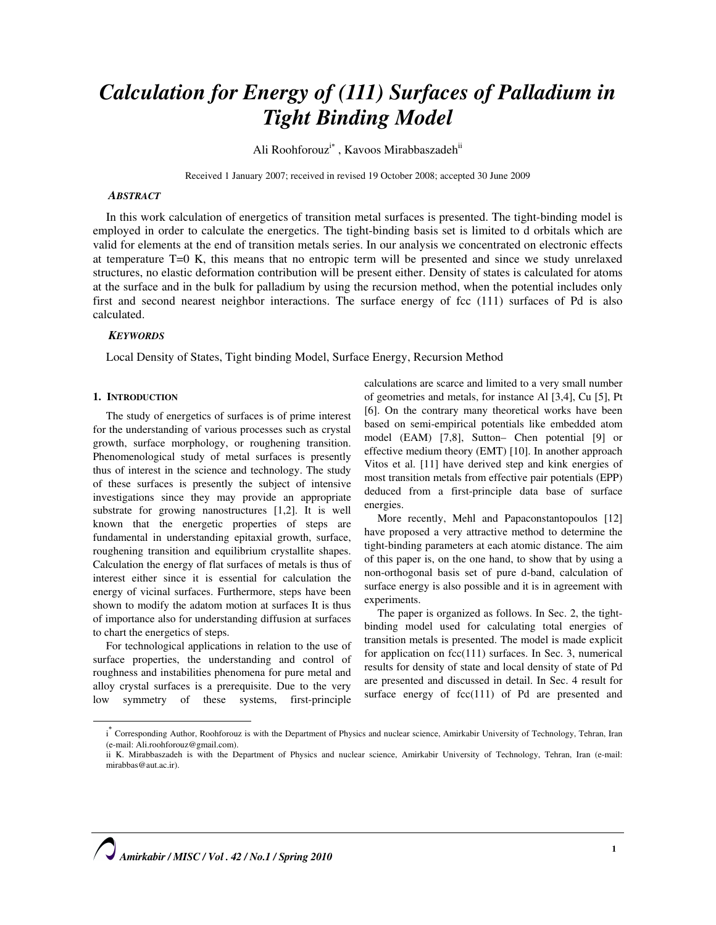# Calculation for Energy of (111) Surfaces of Palladium in Tight Binding Model

Ali Roohforouz<sup>i\*</sup>, Kavoos Mirabbaszadeh<sup>ii</sup>

Received 1 January 2007; received in revised 19 October 2008; accepted 30 June 2009

#### **ABSTRACT**

In this work calculation of energetics of transition metal surfaces is presented. The tight-binding model is employed in order to calculate the energetics. The tight-binding basis set is limited to d orbitals which are valid for elements at the end of transition metals series. In our analysis we concentrated on electronic effects at temperature T=0 K, this means that no entropic term will be presented and since we study unrelaxed structures, no elastic deformation contribution will be present either. Density of states is calculated for atoms at the surface and in the bulk for palladium by using the recursion method, when the potential includes only first and second nearest neighbor interactions. The surface energy of fcc (111) surfaces of Pd is also calculated.

# **KEYWORDS**

Local Density of States, Tight binding Model, Surface Energy, Recursion Method

# 1. INTRODUCTION

 $\overline{a}$ 

The study of energetics of surfaces is of prime interest for the understanding of various processes such as crystal growth, surface morphology, or roughening transition. Phenomenological study of metal surfaces is presently thus of interest in the science and technology. The study of these surfaces is presently the subject of intensive investigations since they may provide an appropriate substrate for growing nanostructures [1,2]. It is well known that the energetic properties of steps are fundamental in understanding epitaxial growth, surface, roughening transition and equilibrium crystallite shapes. Calculation the energy of flat surfaces of metals is thus of interest either since it is essential for calculation the energy of vicinal surfaces. Furthermore, steps have been shown to modify the adatom motion at surfaces It is thus of importance also for understanding diffusion at surfaces to chart the energetics of steps.

For technological applications in relation to the use of surface properties, the understanding and control of roughness and instabilities phenomena for pure metal and alloy crystal surfaces is a prerequisite. Due to the very low symmetry of these systems, first-principle

calculations are scarce and limited to a very small number of geometries and metals, for instance Al [3,4], Cu [5], Pt [6]. On the contrary many theoretical works have been based on semi-empirical potentials like embedded atom model (EAM) [7,8], Sutton– Chen potential [9] or effective medium theory (EMT) [10]. In another approach Vitos et al. [11] have derived step and kink energies of most transition metals from effective pair potentials (EPP) deduced from a first-principle data base of surface energies.

More recently, Mehl and Papaconstantopoulos [12] have proposed a very attractive method to determine the tight-binding parameters at each atomic distance. The aim of this paper is, on the one hand, to show that by using a non-orthogonal basis set of pure d-band, calculation of surface energy is also possible and it is in agreement with experiments.

The paper is organized as follows. In Sec. 2, the tightbinding model used for calculating total energies of transition metals is presented. The model is made explicit for application on  $fcc(111)$  surfaces. In Sec. 3, numerical results for density of state and local density of state of Pd are presented and discussed in detail. In Sec. 4 result for surface energy of  $fcc(111)$  of Pd are presented and

<sup>&</sup>lt;sup>\*</sup> Corresponding Author, Roohforouz is with the Department of Physics and nuclear science, Amirkabir University of Technology, Tehran, Iran (e-mail: Ali.roohforouz@gmail.com).

ii K. Mirabbaszadeh is with the Department of Physics and nuclear science, Amirkabir University of Technology, Tehran, Iran (e-mail: mirabbas@aut.ac.ir).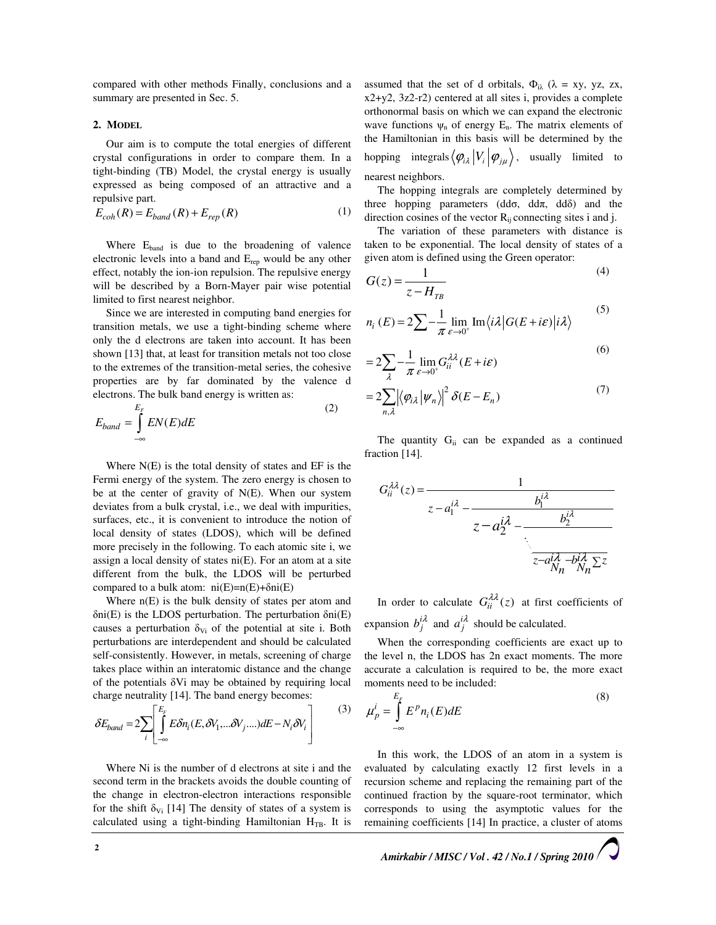compared with other methods Finally, conclusions and a summary are presented in Sec. 5.

# 2. MODEL

Our aim is to compute the total energies of different crystal configurations in order to compare them. In a tight-binding (TB) Model, the crystal energy is usually expressed as being composed of an attractive and a repulsive part.

$$
E_{coh}(R) = E_{band}(R) + E_{rep}(R)
$$
\n(1)

Where  $E_{band}$  is due to the broadening of valence electronic levels into a band and  $E_{rep}$  would be any other effect, notably the ion-ion repulsion. The repulsive energy will be described by a Born-Mayer pair wise potential limited to first nearest neighbor.

Since we are interested in computing band energies for transition metals, we use a tight-binding scheme where only the d electrons are taken into account. It has been shown [13] that, at least for transition metals not too close to the extremes of the transition-metal series, the cohesive properties are by far dominated by the valence d electrons. The bulk band energy is written as:

$$
E_{band} = \int_{-\infty}^{E_F} EN(E) dE
$$
 (2)

Where N(E) is the total density of states and EF is the Fermi energy of the system. The zero energy is chosen to be at the center of gravity of  $N(E)$ . When our system deviates from a bulk crystal, i.e., we deal with impurities, surfaces, etc., it is convenient to introduce the notion of local density of states (LDOS), which will be defined more precisely in the following. To each atomic site i, we assign a local density of states  $ni(E)$ . For an atom at a site different from the bulk, the LDOS will be perturbed compared to a bulk atom:  $ni(E)=n(E)+\delta ni(E)$ 

Where  $n(E)$  is the bulk density of states per atom and  $\delta ni(E)$  is the LDOS perturbation. The perturbation  $\delta ni(E)$ causes a perturbation  $\delta_{Vi}$  of the potential at site i. Both perturbations are interdependent and should be calculated self-consistently. However, in metals, screening of charge takes place within an interatomic distance and the change of the potentials  $\delta Vi$  may be obtained by requiring local charge neutrality [14]. The band energy becomes:

$$
\delta E_{band} = 2 \sum_{i} \left[ \int_{-\infty}^{E_F} E \delta n_i(E, \delta V_1, \dots, \delta V_j, \dots) dE - N_i \delta V_i \right]
$$
(3)

Where Ni is the number of d electrons at site i and the second term in the brackets avoids the double counting of the change in electron-electron interactions responsible for the shift  $\delta_{Vi}$  [14] The density of states of a system is calculated using a tight-binding Hamiltonian  $H_{TB}$ . It is

assumed that the set of d orbitals,  $\Phi_{i\lambda}$  ( $\lambda = xy$ , yz, zx, x2+y2, 3z2-r2) centered at all sites i, provides a complete orthonormal basis on which we can expand the electronic wave functions  $\psi_n$  of energy E<sub>n</sub>. The matrix elements of the Hamiltonian in this basis will be determined by the hopping integrals  $\langle \varphi_{i\lambda} | V_i | \varphi_{i\mu} \rangle$ , usually limited to nearest neighbors.

The hopping integrals are completely determined by three hopping parameters (dd $\sigma$ , dd $\pi$ , dd $\delta$ ) and the direction cosines of the vector  $R_{ii}$  connecting sites i and j.

The variation of these parameters with distance is taken to be exponential. The local density of states of a given atom is defined using the Green operator:

$$
G(z) = \frac{1}{z - H_{TB}}\tag{4}
$$

$$
n_i(E) = 2\sum -\frac{1}{\pi} \lim_{\varepsilon \to 0^+} \text{Im}\langle i\lambda | G(E + i\varepsilon) | i\lambda \rangle
$$
 (5)

$$
=2\sum_{\lambda} -\frac{1}{\pi} \lim_{\varepsilon \to 0^{+}} G_{ii}^{\lambda \lambda} (E + i\varepsilon)
$$
\n(6)

$$
=2\sum_{n,\lambda}\left|\left\langle\varphi_{i\lambda}\left|\psi_{n}\right\rangle\right|^{2}\delta(E-E_{n})\right) \tag{7}
$$

The quantity  $G_{ii}$  can be expanded as a continued fraction [14].

$$
G_{ii}^{\lambda\lambda}(z) = \frac{1}{z - a_1^{i\lambda} - \frac{b_1^{i\lambda}}{z - a_2^{i\lambda} - \frac{b_2^{i\lambda}}{z - a_{N_n}^{i\lambda} - b_{N_n}^{i\lambda}\Sigma z}}}
$$

In order to calculate  $G_{ii}^{\lambda\lambda}(z)$  at first coefficients of expansion  $b_j^{i\lambda}$  and  $a_j^{i\lambda}$  should be calculated.

When the corresponding coefficients are exact up to the level n, the LDOS has 2n exact moments. The more accurate a calculation is required to be, the more exact moments need to be included:

$$
\mu_p^i = \int_{-\infty}^{E_F} E^p n_i(E) dE \tag{8}
$$

In this work, the LDOS of an atom in a system is evaluated by calculating exactly 12 first levels in a recursion scheme and replacing the remaining part of the continued fraction by the square-root terminator, which corresponds to using the asymptotic values for the remaining coefficients [14] In practice, a cluster of atoms

Amirkabir / MISC / Vol . 42 / No.1 / Spring 2010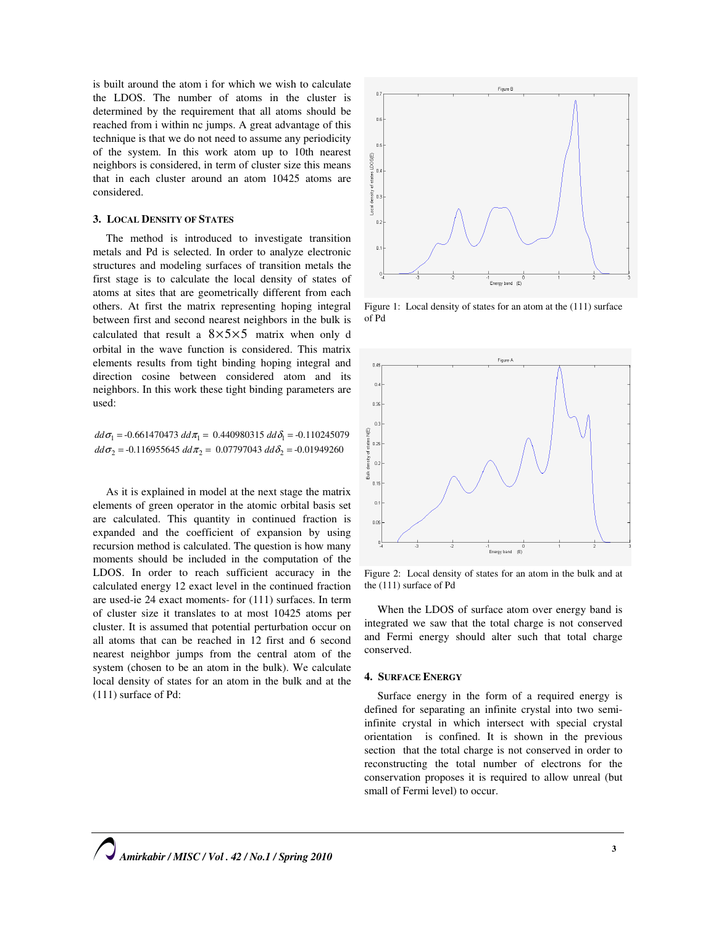is built around the atom i for which we wish to calculate the LDOS. The number of atoms in the cluster is determined by the requirement that all atoms should be reached from i within nc jumps. A great advantage of this technique is that we do not need to assume any periodicity of the system. In this work atom up to 10th nearest neighbors is considered, in term of cluster size this means that in each cluster around an atom 10425 atoms are considered.

# 3. LOCAL DENSITY OF STATES

The method is introduced to investigate transition metals and Pd is selected. In order to analyze electronic structures and modeling surfaces of transition metals the first stage is to calculate the local density of states of atoms at sites that are geometrically different from each others. At first the matrix representing hoping integral between first and second nearest neighbors in the bulk is calculated that result a  $8 \times 5 \times 5$  matrix when only d orbital in the wave function is considered. This matrix elements results from tight binding hoping integral and direction cosine between considered atom and its neighbors. In this work these tight binding parameters are used:

 $dd\sigma_1 = -0.661470473\ dd\pi_1 = 0.440980315\ dd\delta_1 = -0.110245079$  $dd\sigma_2 = -0.116955645\ dd\pi_2 = 0.07797043\ dd\delta_2 = -0.01949260$ 

As it is explained in model at the next stage the matrix elements of green operator in the atomic orbital basis set are calculated. This quantity in continued fraction is expanded and the coefficient of expansion by using recursion method is calculated. The question is how many moments should be included in the computation of the LDOS. In order to reach sufficient accuracy in the calculated energy 12 exact level in the continued fraction are used-ie 24 exact moments- for (111) surfaces. In term of cluster size it translates to at most 10425 atoms per cluster. It is assumed that potential perturbation occur on all atoms that can be reached in 12 first and 6 second nearest neighbor jumps from the central atom of the system (chosen to be an atom in the bulk). We calculate local density of states for an atom in the bulk and at the (111) surface of Pd:



Figure 1: Local density of states for an atom at the (111) surface of Pd



Figure 2: Local density of states for an atom in the bulk and at the (111) surface of Pd

When the LDOS of surface atom over energy band is integrated we saw that the total charge is not conserved and Fermi energy should alter such that total charge conserved.

# 4. SURFACE ENERGY

Surface energy in the form of a required energy is defined for separating an infinite crystal into two semiinfinite crystal in which intersect with special crystal orientation is confined. It is shown in the previous section that the total charge is not conserved in order to reconstructing the total number of electrons for the conservation proposes it is required to allow unreal (but small of Fermi level) to occur.